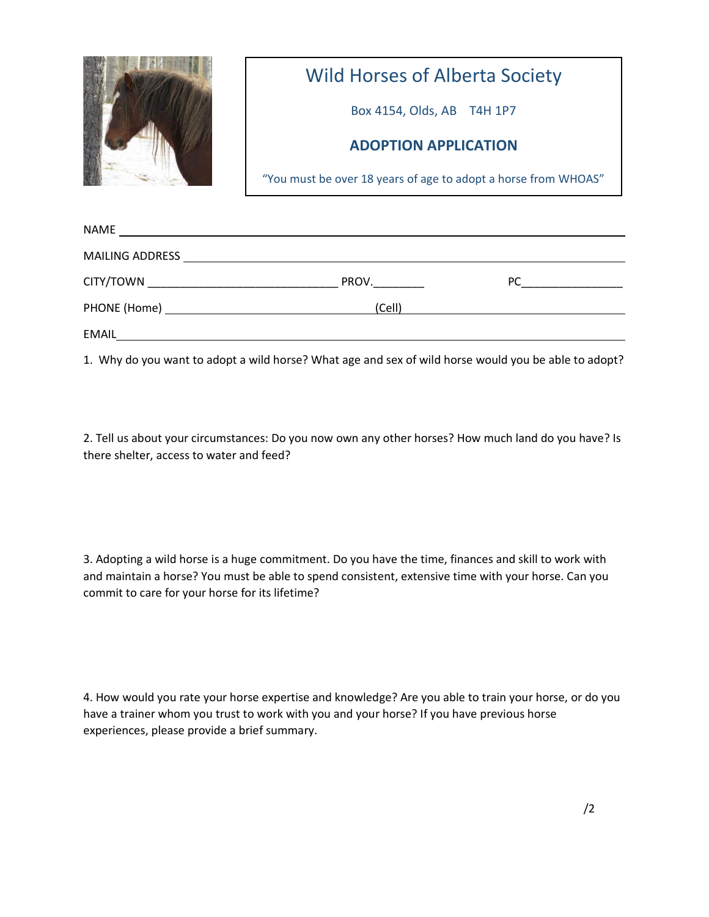

## Wild Horses of Alberta Society

Box 4154, Olds, AB T4H 1P7

## **ADOPTION APPLICATION**

"You must be over 18 years of age to adopt a horse from WHOAS"

| NAME<br><u> 1989 - Jan Sterling von Berling von Berling von Berling von Berling von Berling von Berling von Berling von B</u> |        |    |
|-------------------------------------------------------------------------------------------------------------------------------|--------|----|
| <b>MAILING ADDRESS</b><br><u> 1980 - Andrea Station Barbara, amerikan personal (h. 1980).</u>                                 |        |    |
| CITY/TOWN _______________________________                                                                                     | PROV.  | PC |
|                                                                                                                               | (Cell) |    |
| EMAIL                                                                                                                         |        |    |

1. Why do you want to adopt a wild horse? What age and sex of wild horse would you be able to adopt?

2. Tell us about your circumstances: Do you now own any other horses? How much land do you have? Is there shelter, access to water and feed?

3. Adopting a wild horse is a huge commitment. Do you have the time, finances and skill to work with and maintain a horse? You must be able to spend consistent, extensive time with your horse. Can you commit to care for your horse for its lifetime?

4. How would you rate your horse expertise and knowledge? Are you able to train your horse, or do you have a trainer whom you trust to work with you and your horse? If you have previous horse experiences, please provide a brief summary.